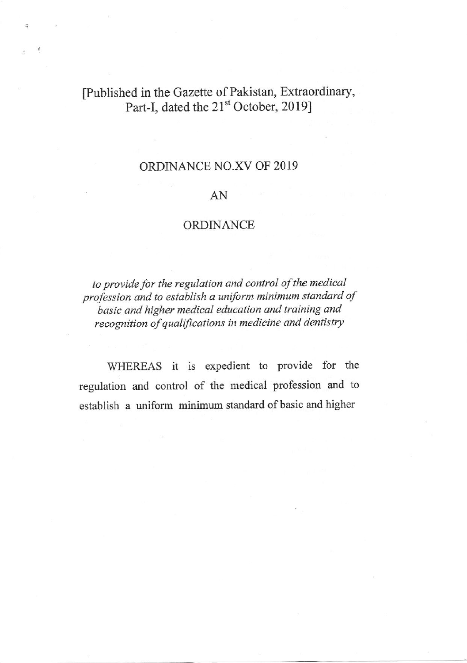## [Published in the Gazette of Pakistan, Extraordinary, Part-I, dated the 21<sup>st</sup> October, 2019]

## ORDINANCE NO.XV OF 2019

## AN

## ORDINANCE

to provide for the regulation and control of the medical profession and to establish a uniform minimum standard of basic and higher medical education and training and recognition of qualifications in medicine and dentistry

WHEREAS it is expedient to provide for the regulation and control of the medical profession and to establish a uniform minimum standard of basic and higher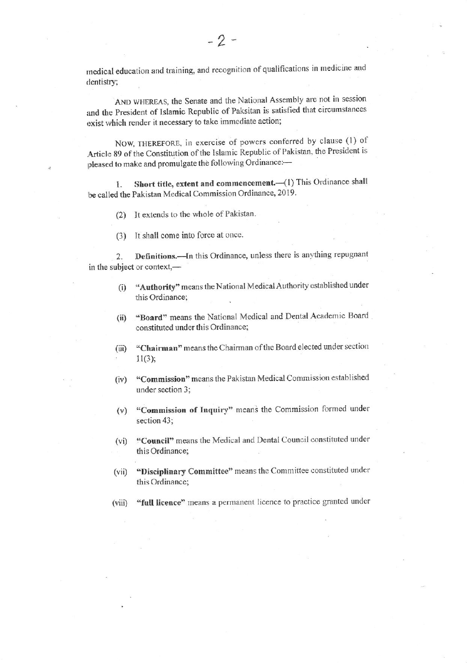medical education and training, and recognition of qualifications in medicine and dentistry;

AND WHEREAS, the Senate and the National Assembly are not in session and the President of Islamic Republic of Paksitan is satisfied that circumstances exist which render it necessary to take immediate action;

NOW, THEREFORE, in exercise of powers conferred by clause (1) of Article 89 of the Constitution of the Islamic Republic of Pakistan, the President is pleased to make and promulgate the following Ordinance:-

Short title, extent and commencement.-(1) This Ordinance shall 1. be called the Pakistan Medical Commission Ordinance, 2019.

(2) It extends to the whole of Pakistan.

(3) It shall come into force at once.

Definitions.- In this Ordinance, unless there is anything repugnant  $2.$ in the subject or context,-

- "Authority" means the National Medical Authority established under  $(i)$ this Ordinance;
- "Board" means the National Medical and Dental Academic Board  $(ii)$ constituted under this Ordinance;
- "Chairman" means the Chairman of the Board elected under section  $(iii)$  $11(3);$
- "Commission" means the Pakistan Medical Commission established  $(iv)$ under section 3;
- (v) "Commission of Inquiry" means the Commission formed under section 43:
- "Council" means the Medical and Dental Council constituted under  $(vi)$ this Ordinance:
- "Disciplinary Committee" means the Committee constituted under  $(vii)$ this Ordinance;
- "full licence" means a permanent licence to practice granted under  $(viii)$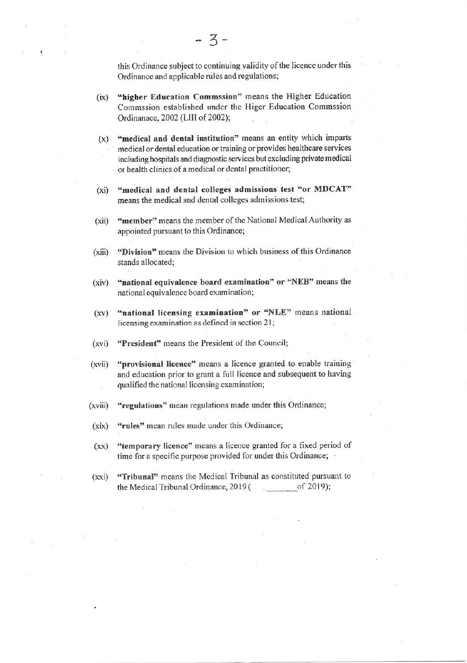this Ordinance subject to continuing validity of the licence under this Ordinance and applicable rules and regulations;

- "higher Education Commssion" means the Higher Education  $(ix)$ Commssion established under the Higer Education Commssion Ordinanace, 2002 (LIII of 2002);
- "medical and dental institution" means an entity which imparts  $(x)$ medical or dental education or training or provides healthcare services including hospitals and diagnostic services but excluding private medical or health clinics of a medical or dental practitioner;
- "medical and dental colleges admissions test "or MDCAT"  $(xi)$ means the medical and dental colleges admissions test;
- "member" means the member of the National Medical Authority as  $(xii)$ appointed pursuant to this Ordinance;
- "Division" means the Division to which business of this Ordinance  $(xiii)$ stands allocated;
- "national equivalence board examination" or "NEB" means the  $(xiv)$ national equivalence board examination;
- "national licensing examination" or "NLE" means national  $(xy)$ licensing examination as defined in section 21;
- "President" means the President of the Council;  $(xvi)$
- "provisional licence" means a licence granted to enable training  $(xvii)$ and education prior to grant a full licence and subsequent to having qualified the national licensing examination;
- "regulations" mean regulations made under this Ordinance;  $(xviii)$
- "rules" mean rules made under this Ordinance;  $(xix)$
- "temporary licence" means a licence granted for a fixed period of  $(xx)$ time for a specific purpose provided for under this Ordinance;
- "Tribunal" means the Medical Tribunal as constituted pursuant to  $(xxi)$ the Medical Tribunal Ordinance, 2019 ( of 2019);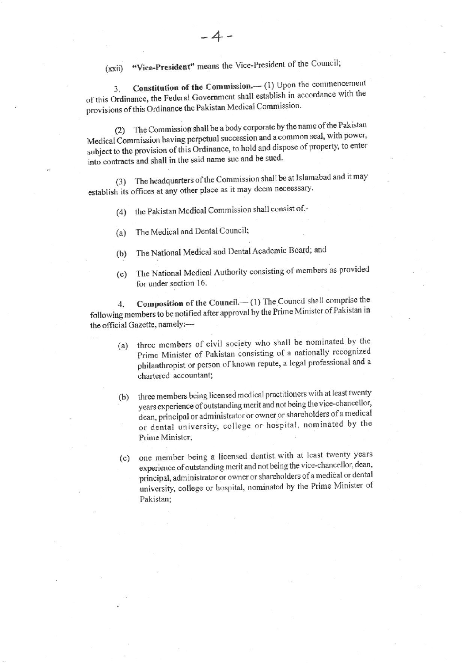"Vice-President" means the Vice-President of the Council;  $(xxi)$ 

Constitution of the Commission.-- (1) Upon the commencement 3. of this Ordinance, the Federal Government shall establish in accordance with the provisions of this Ordinance the Pakistan Medical Commission.

The Commission shall be a body corporate by the name of the Pakistan  $(2)$ Medical Commission having perpetual succession and a common seal, with power, subject to the provision of this Ordinance, to hold and dispose of property, to enter into contracts and shall in the said name sue and be sued.

The headquarters of the Commission shall be at Islamabad and it may  $(3)$ establish its offices at any other place as it may deem necessary.

the Pakistan Medical Commission shall consist of .- $(4)$ 

- The Medical and Dental Council;  $(a)$
- The National Medical and Dental Academic Board; and  $(b)$
- The National Medical Authority consisting of members as provided  $(c)$ for under section 16.

Composition of the Council.- (1) The Council shall comprise the 4. following members to be notified after approval by the Prime Minister of Pakistan in the official Gazette, namely:-

- three members of civil society who shall be nominated by the  $(a)$ Prime Minister of Pakistan consisting of a nationally recognized philanthropist or person of known repute, a legal professional and a chartered accountant;
- three members being licensed medical practitioners with at least twenty  $(b)$ years experience of outstanding merit and not being the vice-chancellor, dean, principal or administrator or owner or shareholders of a medical or dental university, college or hospital, nominated by the Prime Minister;
- one member being a licensed dentist with at least twenty years  $(c)$ experience of outstanding merit and not being the vice-chancellor, dean, principal, administrator or owner or shareholders of a medical or dental university, college or hospital, nominated by the Prime Minister of Pakistan;